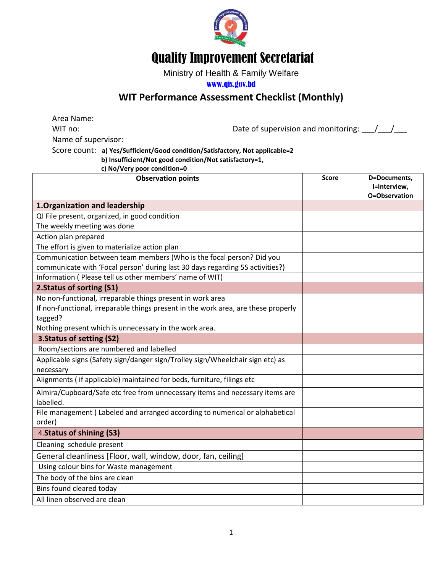

## Quality Improvement Secretariat

Ministry of Health & Family Welfare

[www.qis.gov.bd](http://www.qis.gov.bd/)

## **WIT Performance Assessment Checklist (Monthly)**

Area Name: WIT no:  $\blacksquare$  Date of supervision and monitoring:  $\blacksquare$ Name of supervisor: Score count: **a) Yes/Sufficient/Good condition/Satisfactory, Not applicable=2 b) Insufficient/Not good condition/Not satisfactory=1,** 

 **c) No/Very poor condition=0**

| <b>Observation points</b>                                                          | <b>Score</b> | D=Documents,                  |
|------------------------------------------------------------------------------------|--------------|-------------------------------|
|                                                                                    |              | I=Interview,<br>O=Observation |
| 1. Organization and leadership                                                     |              |                               |
| QI File present, organized, in good condition                                      |              |                               |
| The weekly meeting was done                                                        |              |                               |
| Action plan prepared                                                               |              |                               |
| The effort is given to materialize action plan                                     |              |                               |
| Communication between team members (Who is the focal person? Did you               |              |                               |
| communicate with 'Focal person' during last 30 days regarding 5S activities?)      |              |                               |
| Information (Please tell us other members' name of WIT)                            |              |                               |
| 2. Status of sorting (S1)                                                          |              |                               |
| No non-functional, irreparable things present in work area                         |              |                               |
| If non-functional, irreparable things present in the work area, are these properly |              |                               |
| tagged?                                                                            |              |                               |
| Nothing present which is unnecessary in the work area.                             |              |                               |
| 3. Status of setting (S2)                                                          |              |                               |
| Room/sections are numbered and labelled                                            |              |                               |
| Applicable signs (Safety sign/danger sign/Trolley sign/Wheelchair sign etc) as     |              |                               |
| necessary                                                                          |              |                               |
| Alignments (if applicable) maintained for beds, furniture, filings etc             |              |                               |
| Almira/Cupboard/Safe etc free from unnecessary items and necessary items are       |              |                               |
| labelled.                                                                          |              |                               |
| File management (Labeled and arranged according to numerical or alphabetical       |              |                               |
| order)                                                                             |              |                               |
| 4. Status of shining (S3)                                                          |              |                               |
| Cleaning schedule present                                                          |              |                               |
| General cleanliness [Floor, wall, window, door, fan, ceiling]                      |              |                               |
| Using colour bins for Waste management                                             |              |                               |
| The body of the bins are clean                                                     |              |                               |
| Bins found cleared today                                                           |              |                               |
| All linen observed are clean                                                       |              |                               |